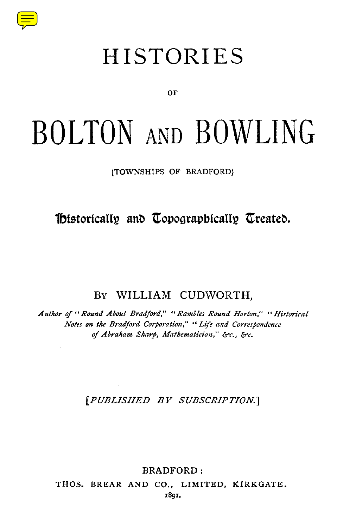

## **HISTORIES**

በፑ

# BOLTON AND BOWLING

(TOWNSHIPS OF BRADFORD)

Thistorically and Topographically Treated.

BY WILLIAM CUDWORTH.

Author of "Round About Bradford," "Rambles Round Horton," "Historical Notes on the Bradford Corporation," "Life and Correspondence of Abraham Sharp, Mathematician," &c., &c.

[PUBLISHED BY SUBSCRIPTION.]

**BRADFORD:** 

THOS. BREAR AND CO., LIMITED, KIRKGATE. 1801.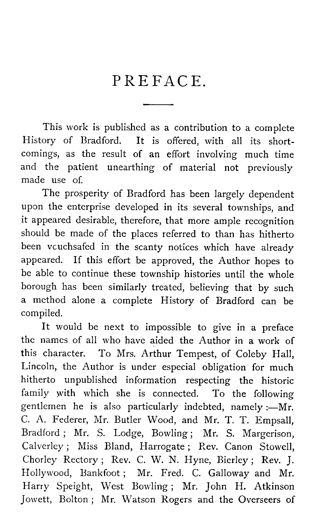#### PREFACE.

This work is published as a contribution to a complete History of Bradford. It is offered, with all its shortcomings, as the result of an effort involving much time and the patient unearthing of material not previously made use of.

The prosperity of Bradford has been largely dependent upon the enterprise developed in its several townships, and it appeared desirable, therefore, that more ample recognition should be made of the places referred to than has hitherto been vcuchsafed in the scanty notices which have already appeared. If this effort be approved, the Author hopes to be able to continue these township histories until the whole borough has been similarly treated, believing that by such a method alone a complete History of Bradford can be compiled.

It would be next to impossible to give in a preface the names of all who have aided the Author in a work of this character. To Mrs. Arthur Tempest, of Coleby Hall, Lincoln, the Author is under especial obligation for much hitherto unpublished information respecting the historic family with which she is connected. To the following gentlemen he is also particularly indebted, namely :—Mr. C. A. Federer, Mr. Butler Wood, and Mr. T. T. Empsall, Bradford ; Mr. S. Lodge, Bowling ; Mr. S. Margerison, Calverley ; Miss Bland, Harrogate ; Rev. Canon Stowell, Chorley Rectory ; Rev. C. W. N. Hyne, Bierley ; Rev. J. Hollywood, Bankfoot; Mr. Fred. C. Galloway and Mr. Harry Speight, West Bowling ; Mr. John H. Atkinson Jowett, Bolton ; Mr. Watson Rogers and the Overseers of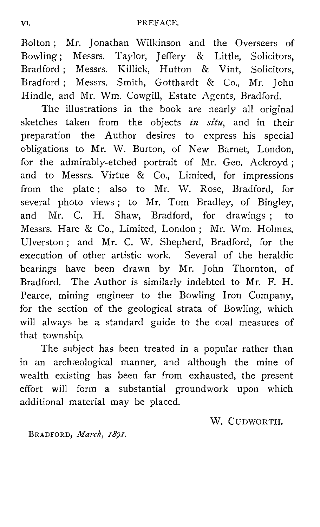Bolton ; Mr. Jonathan Wilkinson and the Overseers of Bowling ; Messrs. Taylor, Jeffery & Little, Solicitors, Bradford ; Messrs. Killick, Hutton & Vint, Solicitors, Bradford ; Messrs. Smith, Gotthardt & Co., Mr. John Hindle, and Mr. Wm. Cowgill, Estate Agents, Bradford.

The illustrations in the book are nearly all original sketches taken from the objects *in situ,* and in their preparation the Author desires to express his special obligations to Mr. W. Burton, of New Barnet, London, for the admirably-etched portrait of Mr. Geo. Ackroyd ; and to Messrs. Virtue & Co., Limited, for impressions from the plate; also to Mr. W. Rose, Bradford, for several photo views ; to Mr. Tom Bradley, of Bingley, and Mr. C. H. Shaw, Bradford, for drawings ; to Messrs. Hare & Co., Limited, London ; Mr. Wm. Holmes, Ulverston; and Mr. C. W. Shepherd, Bradford, for the execution of other artistic work. Several of the heraldic bearings have been drawn by Mr. John Thornton, of Bradford. The Author is similarly indebted to Mr. F. H. Pearce, mining engineer to the Bowling Iron Company, for the section of the geological strata of Bowling, which will always be a standard guide to the coal measures of that township.

The subject has been treated in a popular rather than in an archaeological manner, and although the mine of wealth existing has been far from exhausted, the present effort will form a substantial groundwork upon which additional material may be placed.

W. CUDWORTII.

BRADFORD, *March, 1891.*